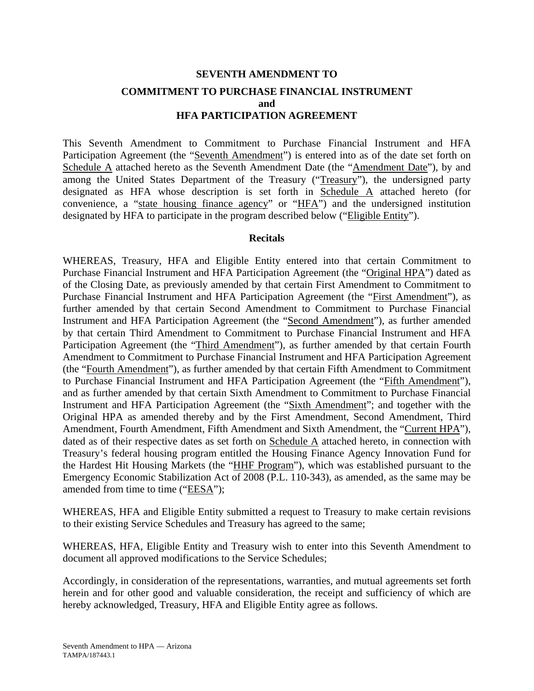# **SEVENTH AMENDMENT TO COMMITMENT TO PURCHASE FINANCIAL INSTRUMENT and HFA PARTICIPATION AGREEMENT**

This Seventh Amendment to Commitment to Purchase Financial Instrument and HFA Participation Agreement (the "Seventh Amendment") is entered into as of the date set forth on Schedule A attached hereto as the Seventh Amendment Date (the "Amendment Date"), by and among the United States Department of the Treasury ("Treasury"), the undersigned party designated as HFA whose description is set forth in Schedule A attached hereto (for convenience, a "state housing finance agency" or "HFA") and the undersigned institution designated by HFA to participate in the program described below ("Eligible Entity").

#### **Recitals**

WHEREAS, Treasury, HFA and Eligible Entity entered into that certain Commitment to Purchase Financial Instrument and HFA Participation Agreement (the "Original HPA") dated as of the Closing Date, as previously amended by that certain First Amendment to Commitment to Purchase Financial Instrument and HFA Participation Agreement (the "First Amendment"), as further amended by that certain Second Amendment to Commitment to Purchase Financial Instrument and HFA Participation Agreement (the "Second Amendment"), as further amended by that certain Third Amendment to Commitment to Purchase Financial Instrument and HFA Participation Agreement (the "Third Amendment"), as further amended by that certain Fourth Amendment to Commitment to Purchase Financial Instrument and HFA Participation Agreement (the "Fourth Amendment"), as further amended by that certain Fifth Amendment to Commitment to Purchase Financial Instrument and HFA Participation Agreement (the "Fifth Amendment"), and as further amended by that certain Sixth Amendment to Commitment to Purchase Financial Instrument and HFA Participation Agreement (the "Sixth Amendment"; and together with the Original HPA as amended thereby and by the First Amendment, Second Amendment, Third Amendment, Fourth Amendment, Fifth Amendment and Sixth Amendment, the "Current HPA"), dated as of their respective dates as set forth on Schedule A attached hereto, in connection with Treasury's federal housing program entitled the Housing Finance Agency Innovation Fund for the Hardest Hit Housing Markets (the "HHF Program"), which was established pursuant to the Emergency Economic Stabilization Act of 2008 (P.L. 110-343), as amended, as the same may be amended from time to time ("EESA");

WHEREAS, HFA and Eligible Entity submitted a request to Treasury to make certain revisions to their existing Service Schedules and Treasury has agreed to the same;

WHEREAS, HFA, Eligible Entity and Treasury wish to enter into this Seventh Amendment to document all approved modifications to the Service Schedules;

Accordingly, in consideration of the representations, warranties, and mutual agreements set forth herein and for other good and valuable consideration, the receipt and sufficiency of which are hereby acknowledged, Treasury, HFA and Eligible Entity agree as follows.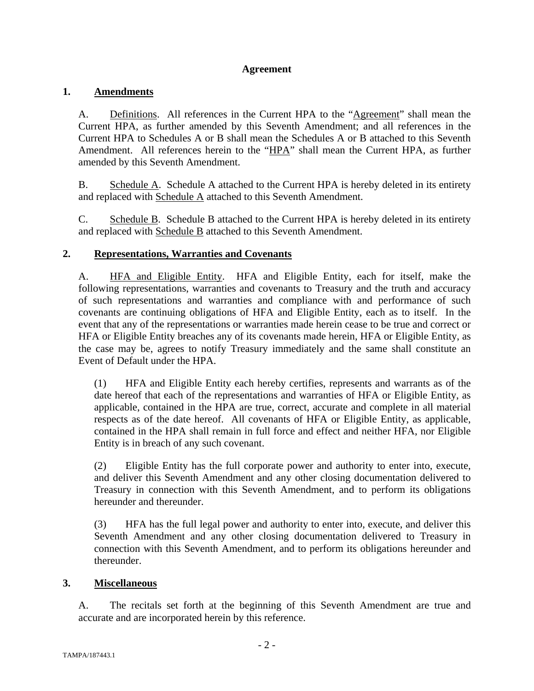#### **Agreement**

## **1. Amendments**

A. Definitions. All references in the Current HPA to the "Agreement" shall mean the Current HPA, as further amended by this Seventh Amendment; and all references in the Current HPA to Schedules A or B shall mean the Schedules A or B attached to this Seventh Amendment. All references herein to the "HPA" shall mean the Current HPA, as further amended by this Seventh Amendment.

B. Schedule A. Schedule A attached to the Current HPA is hereby deleted in its entirety and replaced with Schedule A attached to this Seventh Amendment.

C. Schedule B. Schedule B attached to the Current HPA is hereby deleted in its entirety and replaced with Schedule B attached to this Seventh Amendment.

## **2. Representations, Warranties and Covenants**

A. HFA and Eligible Entity. HFA and Eligible Entity, each for itself, make the following representations, warranties and covenants to Treasury and the truth and accuracy of such representations and warranties and compliance with and performance of such covenants are continuing obligations of HFA and Eligible Entity, each as to itself. In the event that any of the representations or warranties made herein cease to be true and correct or HFA or Eligible Entity breaches any of its covenants made herein, HFA or Eligible Entity, as the case may be, agrees to notify Treasury immediately and the same shall constitute an Event of Default under the HPA.

(1) HFA and Eligible Entity each hereby certifies, represents and warrants as of the date hereof that each of the representations and warranties of HFA or Eligible Entity, as applicable, contained in the HPA are true, correct, accurate and complete in all material respects as of the date hereof. All covenants of HFA or Eligible Entity, as applicable, contained in the HPA shall remain in full force and effect and neither HFA, nor Eligible Entity is in breach of any such covenant.

(2) Eligible Entity has the full corporate power and authority to enter into, execute, and deliver this Seventh Amendment and any other closing documentation delivered to Treasury in connection with this Seventh Amendment, and to perform its obligations hereunder and thereunder.

(3) HFA has the full legal power and authority to enter into, execute, and deliver this Seventh Amendment and any other closing documentation delivered to Treasury in connection with this Seventh Amendment, and to perform its obligations hereunder and thereunder.

#### **3. Miscellaneous**

A. The recitals set forth at the beginning of this Seventh Amendment are true and accurate and are incorporated herein by this reference.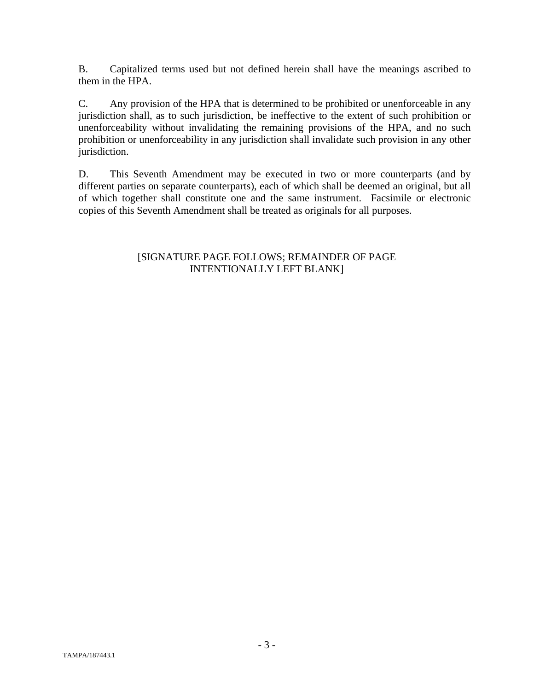B. Capitalized terms used but not defined herein shall have the meanings ascribed to them in the HPA.

C. Any provision of the HPA that is determined to be prohibited or unenforceable in any jurisdiction shall, as to such jurisdiction, be ineffective to the extent of such prohibition or unenforceability without invalidating the remaining provisions of the HPA, and no such prohibition or unenforceability in any jurisdiction shall invalidate such provision in any other jurisdiction.

D. This Seventh Amendment may be executed in two or more counterparts (and by different parties on separate counterparts), each of which shall be deemed an original, but all of which together shall constitute one and the same instrument. Facsimile or electronic copies of this Seventh Amendment shall be treated as originals for all purposes.

#### [SIGNATURE PAGE FOLLOWS; REMAINDER OF PAGE INTENTIONALLY LEFT BLANK]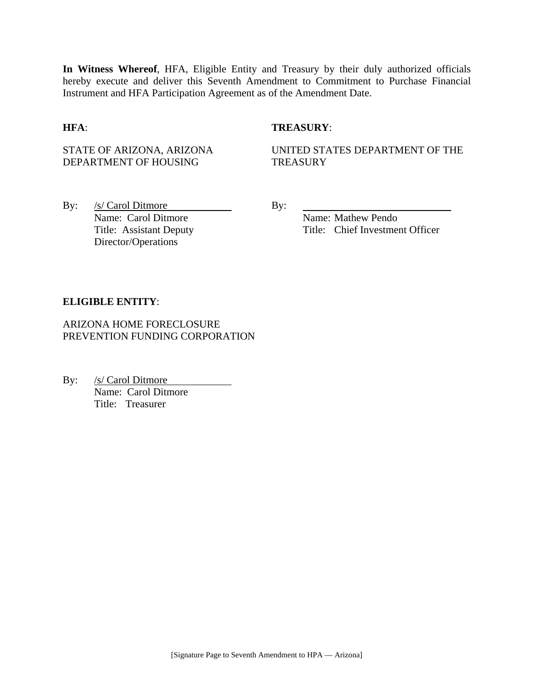**In Witness Whereof**, HFA, Eligible Entity and Treasury by their duly authorized officials hereby execute and deliver this Seventh Amendment to Commitment to Purchase Financial Instrument and HFA Participation Agreement as of the Amendment Date.

#### **HFA**: **TREASURY**:

STATE OF ARIZONA, ARIZONA DEPARTMENT OF HOUSING

UNITED STATES DEPARTMENT OF THE **TREASURY** 

By:  $/s/Carol$  Ditmore By: Name: Carol Ditmore Name: Mathew Pendo Title: Assistant Deputy Director/Operations

Title: Chief Investment Officer

#### **ELIGIBLE ENTITY**:

ARIZONA HOME FORECLOSURE PREVENTION FUNDING CORPORATION

By: /s/ Carol Ditmore Name: Carol Ditmore Title: Treasurer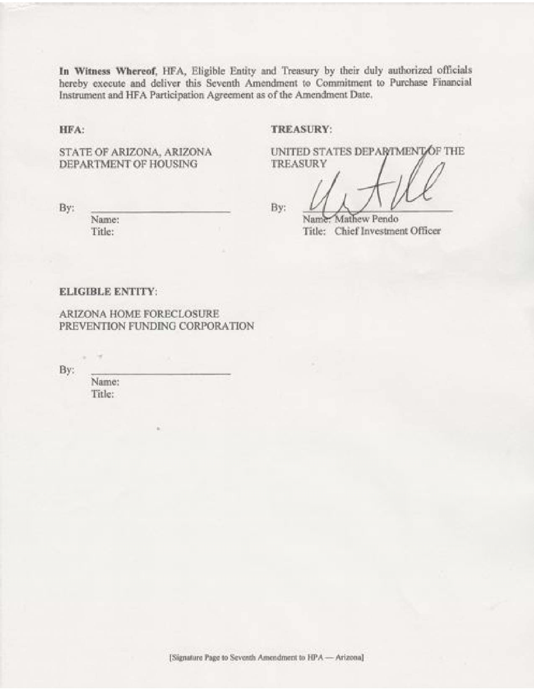In Witness Whereof, HFA, Eligible Entity and Treasury by their duly authorized officials hereby execute and deliver this Seventh Amendment to Commitment to Purchase Financial Instrument and HFA Participation Agreement as of the Amendment Date.

HFA:

#### TREASURY:

**TREASURY** 

STATE OF ARIZONA, ARIZONA DEPARTMENT OF HOUSING

By:

Name: Title:

By:

Name: Mathew Pendo Title: Chief Investment Officer

UNITED STATES DEPARTMENT OF THE

#### **ELIGIBLE ENTITY:**

ARIZONA HOME FORECLOSURE PREVENTION FUNDING CORPORATION

By:

Name: Title:

 $\sim$ ×

[Signature Page to Seventh Amendment to HPA - Arizona]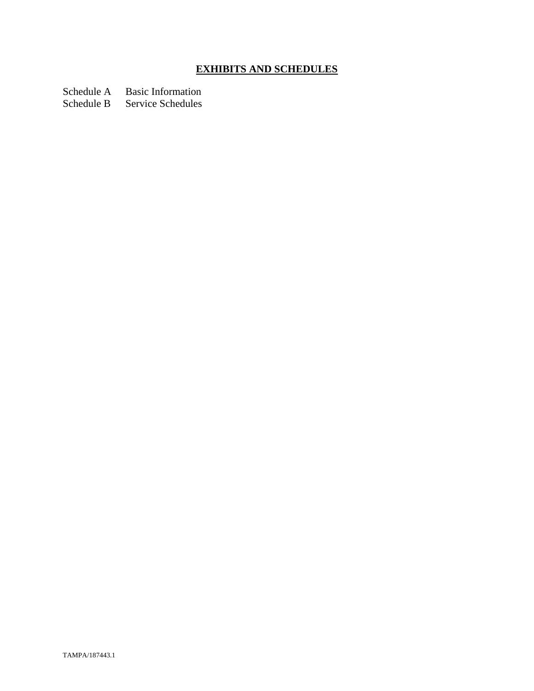# **EXHIBITS AND SCHEDULES**

Schedule A Basic Information

Schedule B Service Schedules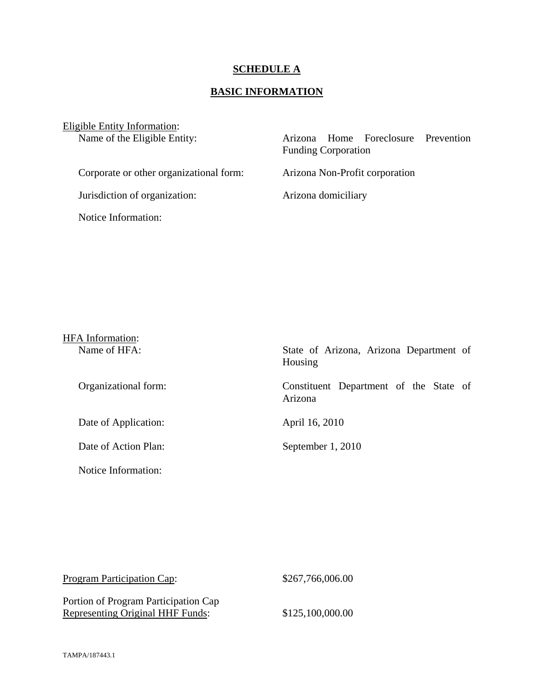#### **SCHEDULE A**

## **BASIC INFORMATION**

Eligible Entity Information:

Name of the Eligible Entity:

|                            | Arizona Home Foreclosure Prevention |  |
|----------------------------|-------------------------------------|--|
| <b>Funding Corporation</b> |                                     |  |
|                            |                                     |  |
|                            | Arizona Non-Profit corporation      |  |

Jurisdiction of organization: Arizona domiciliary

Corporate or other organizational form:

Notice Information:

| <b>HFA</b> Information: |                                                    |
|-------------------------|----------------------------------------------------|
| Name of HFA:            | State of Arizona, Arizona Department of<br>Housing |
| Organizational form:    | Constituent Department of the State of<br>Arizona  |
| Date of Application:    | April 16, 2010                                     |
| Date of Action Plan:    | September 1, 2010                                  |
| Notice Information:     |                                                    |

| <b>Program Participation Cap:</b>                                               | \$267,766,006.00 |
|---------------------------------------------------------------------------------|------------------|
| Portion of Program Participation Cap<br><b>Representing Original HHF Funds:</b> | \$125,100,000.00 |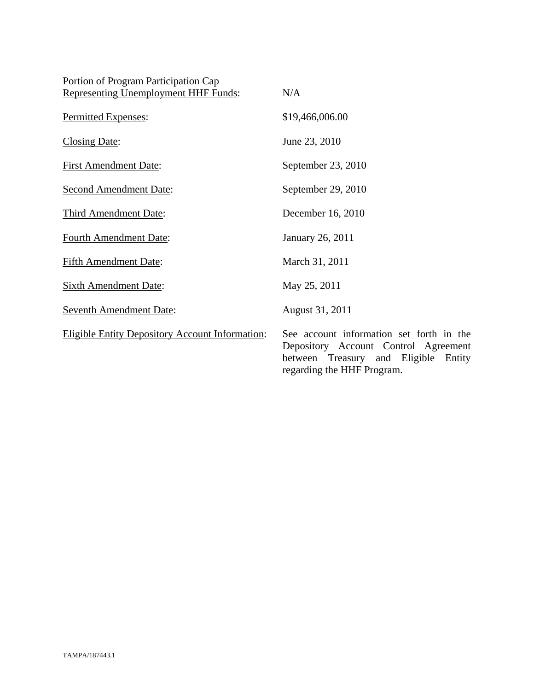| Portion of Program Participation Cap                   |                                                                               |
|--------------------------------------------------------|-------------------------------------------------------------------------------|
| <b>Representing Unemployment HHF Funds:</b>            | N/A                                                                           |
| Permitted Expenses:                                    | \$19,466,006.00                                                               |
| <b>Closing Date:</b>                                   | June 23, 2010                                                                 |
| <b>First Amendment Date:</b>                           | September 23, 2010                                                            |
| <b>Second Amendment Date:</b>                          | September 29, 2010                                                            |
| <b>Third Amendment Date:</b>                           | December 16, 2010                                                             |
| <b>Fourth Amendment Date:</b>                          | January 26, 2011                                                              |
| <b>Fifth Amendment Date:</b>                           | March 31, 2011                                                                |
| <b>Sixth Amendment Date:</b>                           | May 25, 2011                                                                  |
| <b>Seventh Amendment Date:</b>                         | August 31, 2011                                                               |
| <b>Eligible Entity Depository Account Information:</b> | See account information<br>Depository Account C<br>between<br>Treasury<br>and |

In set forth in the Depository Account Control Agreement between Treasury and Eligible Entity regarding the HHF Program.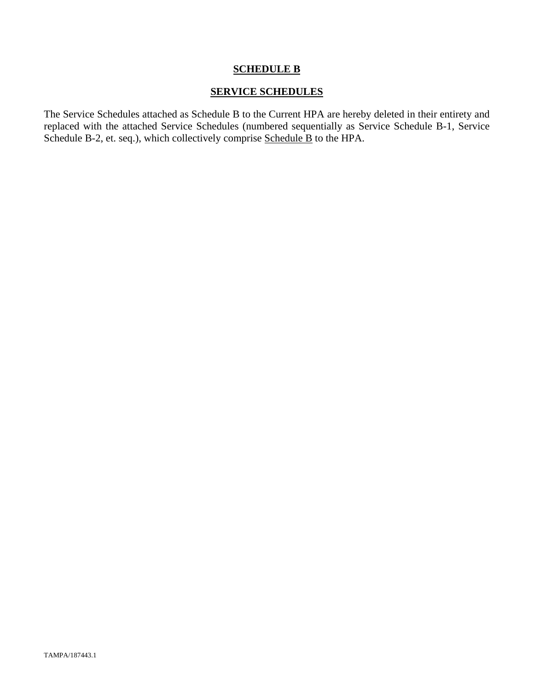#### **SCHEDULE B**

#### **SERVICE SCHEDULES**

The Service Schedules attached as Schedule B to the Current HPA are hereby deleted in their entirety and replaced with the attached Service Schedules (numbered sequentially as Service Schedule B-1, Service Schedule B-2, et. seq.), which collectively comprise Schedule B to the HPA.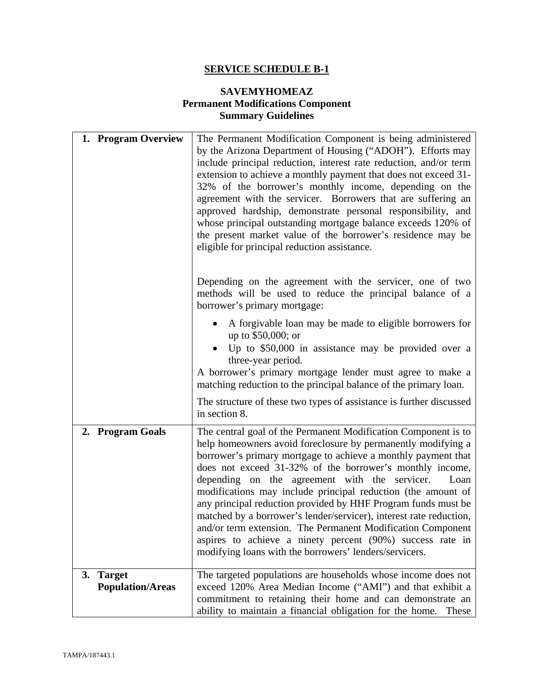## **SAVEMYHOMEAZ Permanent Modifications Component Summary Guidelines**

| 1. Program Overview                  | The Permanent Modification Component is being administered<br>by the Arizona Department of Housing ("ADOH"). Efforts may<br>include principal reduction, interest rate reduction, and/or term<br>extension to achieve a monthly payment that does not exceed 31-<br>32% of the borrower's monthly income, depending on the<br>agreement with the servicer. Borrowers that are suffering an<br>approved hardship, demonstrate personal responsibility, and<br>whose principal outstanding mortgage balance exceeds 120% of<br>the present market value of the borrower's residence may be<br>eligible for principal reduction assistance.                                                                          |
|--------------------------------------|-------------------------------------------------------------------------------------------------------------------------------------------------------------------------------------------------------------------------------------------------------------------------------------------------------------------------------------------------------------------------------------------------------------------------------------------------------------------------------------------------------------------------------------------------------------------------------------------------------------------------------------------------------------------------------------------------------------------|
|                                      | Depending on the agreement with the servicer, one of two<br>methods will be used to reduce the principal balance of a<br>borrower's primary mortgage:                                                                                                                                                                                                                                                                                                                                                                                                                                                                                                                                                             |
|                                      | A forgivable loan may be made to eligible borrowers for<br>up to \$50,000; or<br>Up to \$50,000 in assistance may be provided over a<br>three-year period.<br>A borrower's primary mortgage lender must agree to make a<br>matching reduction to the principal balance of the primary loan.                                                                                                                                                                                                                                                                                                                                                                                                                       |
|                                      | The structure of these two types of assistance is further discussed<br>in section 8.                                                                                                                                                                                                                                                                                                                                                                                                                                                                                                                                                                                                                              |
| 2. Program Goals                     | The central goal of the Permanent Modification Component is to<br>help homeowners avoid foreclosure by permanently modifying a<br>borrower's primary mortgage to achieve a monthly payment that<br>does not exceed 31-32% of the borrower's monthly income,<br>depending on the agreement with the servicer.<br>Loan<br>modifications may include principal reduction (the amount of<br>any principal reduction provided by HHF Program funds must be<br>matched by a borrower's lender/servicer), interest rate reduction,<br>and/or term extension. The Permanent Modification Component<br>aspires to achieve a ninety percent (90%) success rate in<br>modifying loans with the borrowers' lenders/servicers. |
| 3. Target<br><b>Population/Areas</b> | The targeted populations are households whose income does not<br>exceed 120% Area Median Income ("AMI") and that exhibit a<br>commitment to retaining their home and can demonstrate an<br>ability to maintain a financial obligation for the home.<br>These                                                                                                                                                                                                                                                                                                                                                                                                                                                      |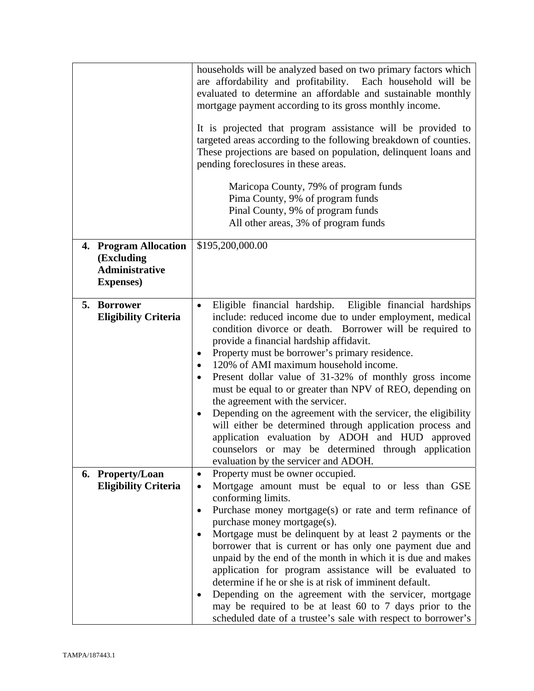|                                                 | households will be analyzed based on two primary factors which<br>are affordability and profitability. Each household will be<br>evaluated to determine an affordable and sustainable monthly<br>mortgage payment according to its gross monthly income.<br>It is projected that program assistance will be provided to<br>targeted areas according to the following breakdown of counties.<br>These projections are based on population, delinquent loans and<br>pending foreclosures in these areas.<br>Maricopa County, 79% of program funds<br>Pima County, 9% of program funds<br>Pinal County, 9% of program funds<br>All other areas, 3% of program funds                                                                                                                                                    |
|-------------------------------------------------|---------------------------------------------------------------------------------------------------------------------------------------------------------------------------------------------------------------------------------------------------------------------------------------------------------------------------------------------------------------------------------------------------------------------------------------------------------------------------------------------------------------------------------------------------------------------------------------------------------------------------------------------------------------------------------------------------------------------------------------------------------------------------------------------------------------------|
| 4. Program Allocation                           | \$195,200,000.00                                                                                                                                                                                                                                                                                                                                                                                                                                                                                                                                                                                                                                                                                                                                                                                                    |
| (Excluding<br><b>Administrative</b>             |                                                                                                                                                                                                                                                                                                                                                                                                                                                                                                                                                                                                                                                                                                                                                                                                                     |
| <b>Expenses</b> )                               |                                                                                                                                                                                                                                                                                                                                                                                                                                                                                                                                                                                                                                                                                                                                                                                                                     |
|                                                 |                                                                                                                                                                                                                                                                                                                                                                                                                                                                                                                                                                                                                                                                                                                                                                                                                     |
| 5. Borrower<br><b>Eligibility Criteria</b>      | Eligible financial hardship. Eligible financial hardships<br>$\bullet$<br>include: reduced income due to under employment, medical<br>condition divorce or death. Borrower will be required to<br>provide a financial hardship affidavit.<br>Property must be borrower's primary residence.<br>٠<br>120% of AMI maximum household income.<br>٠<br>Present dollar value of 31-32% of monthly gross income<br>$\bullet$<br>must be equal to or greater than NPV of REO, depending on<br>the agreement with the servicer.<br>Depending on the agreement with the servicer, the eligibility<br>$\bullet$<br>will either be determined through application process and<br>application evaluation by ADOH and HUD approved<br>counselors or may be determined through application<br>evaluation by the servicer and ADOH. |
| 6. Property/Loan<br><b>Eligibility Criteria</b> | Property must be owner occupied.<br>$\bullet$<br>Mortgage amount must be equal to or less than GSE<br>٠<br>conforming limits.<br>Purchase money mortgage(s) or rate and term refinance of<br>$\bullet$                                                                                                                                                                                                                                                                                                                                                                                                                                                                                                                                                                                                              |
|                                                 | purchase money mortgage(s).<br>Mortgage must be delinquent by at least 2 payments or the<br>$\bullet$<br>borrower that is current or has only one payment due and<br>unpaid by the end of the month in which it is due and makes<br>application for program assistance will be evaluated to<br>determine if he or she is at risk of imminent default.<br>Depending on the agreement with the servicer, mortgage<br>may be required to be at least 60 to 7 days prior to the<br>scheduled date of a trustee's sale with respect to borrower's                                                                                                                                                                                                                                                                        |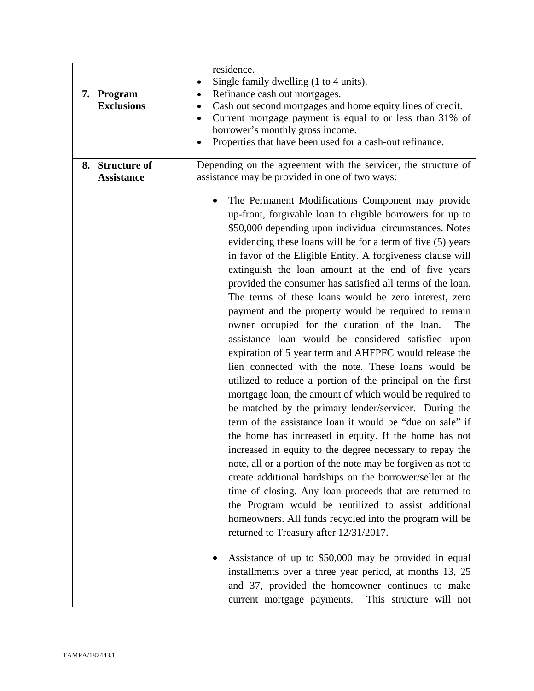|                   | residence.                                                            |  |
|-------------------|-----------------------------------------------------------------------|--|
|                   | Single family dwelling (1 to 4 units).<br>$\bullet$                   |  |
| 7. Program        | Refinance cash out mortgages.<br>$\bullet$                            |  |
| <b>Exclusions</b> | Cash out second mortgages and home equity lines of credit.<br>٠       |  |
|                   | Current mortgage payment is equal to or less than 31% of<br>$\bullet$ |  |
|                   | borrower's monthly gross income.                                      |  |
|                   | Properties that have been used for a cash-out refinance.              |  |
| 8. Structure of   | Depending on the agreement with the servicer, the structure of        |  |
| <b>Assistance</b> | assistance may be provided in one of two ways:                        |  |
|                   |                                                                       |  |
|                   | The Permanent Modifications Component may provide                     |  |
|                   | up-front, forgivable loan to eligible borrowers for up to             |  |
|                   | \$50,000 depending upon individual circumstances. Notes               |  |
|                   | evidencing these loans will be for a term of five (5) years           |  |
|                   | in favor of the Eligible Entity. A forgiveness clause will            |  |
|                   | extinguish the loan amount at the end of five years                   |  |
|                   | provided the consumer has satisfied all terms of the loan.            |  |
|                   | The terms of these loans would be zero interest, zero                 |  |
|                   | payment and the property would be required to remain                  |  |
|                   | owner occupied for the duration of the loan.<br>The                   |  |
|                   | assistance loan would be considered satisfied upon                    |  |
|                   | expiration of 5 year term and AHFPFC would release the                |  |
|                   | lien connected with the note. These loans would be                    |  |
|                   | utilized to reduce a portion of the principal on the first            |  |
|                   | mortgage loan, the amount of which would be required to               |  |
|                   | be matched by the primary lender/servicer. During the                 |  |
|                   | term of the assistance loan it would be "due on sale" if              |  |
|                   | the home has increased in equity. If the home has not                 |  |
|                   | increased in equity to the degree necessary to repay the              |  |
|                   | note, all or a portion of the note may be forgiven as not to          |  |
|                   | create additional hardships on the borrower/seller at the             |  |
|                   | time of closing. Any loan proceeds that are returned to               |  |
|                   | the Program would be reutilized to assist additional                  |  |
|                   | homeowners. All funds recycled into the program will be               |  |
|                   |                                                                       |  |
|                   | returned to Treasury after 12/31/2017.                                |  |
|                   | Assistance of up to \$50,000 may be provided in equal                 |  |
|                   | installments over a three year period, at months 13, 25               |  |
|                   | and 37, provided the homeowner continues to make                      |  |
|                   | current mortgage payments. This structure will not                    |  |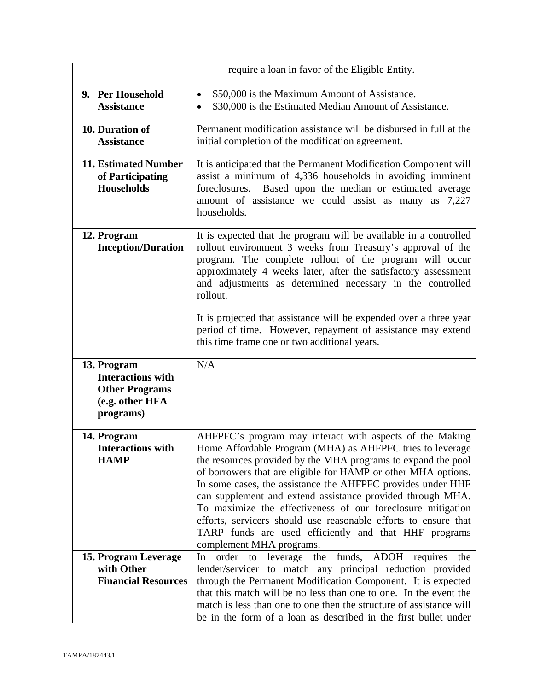|                                                                                                  | require a loan in favor of the Eligible Entity.                                                                                                                                                                                                                                                                                                                                                                                                                                                                                                                                                             |
|--------------------------------------------------------------------------------------------------|-------------------------------------------------------------------------------------------------------------------------------------------------------------------------------------------------------------------------------------------------------------------------------------------------------------------------------------------------------------------------------------------------------------------------------------------------------------------------------------------------------------------------------------------------------------------------------------------------------------|
| 9. Per Household                                                                                 | \$50,000 is the Maximum Amount of Assistance.                                                                                                                                                                                                                                                                                                                                                                                                                                                                                                                                                               |
| <b>Assistance</b>                                                                                | \$30,000 is the Estimated Median Amount of Assistance.                                                                                                                                                                                                                                                                                                                                                                                                                                                                                                                                                      |
| 10. Duration of                                                                                  | Permanent modification assistance will be disbursed in full at the                                                                                                                                                                                                                                                                                                                                                                                                                                                                                                                                          |
| <b>Assistance</b>                                                                                | initial completion of the modification agreement.                                                                                                                                                                                                                                                                                                                                                                                                                                                                                                                                                           |
| <b>11. Estimated Number</b>                                                                      | It is anticipated that the Permanent Modification Component will                                                                                                                                                                                                                                                                                                                                                                                                                                                                                                                                            |
| of Participating                                                                                 | assist a minimum of 4,336 households in avoiding imminent                                                                                                                                                                                                                                                                                                                                                                                                                                                                                                                                                   |
| <b>Households</b>                                                                                | Based upon the median or estimated average<br>foreclosures.                                                                                                                                                                                                                                                                                                                                                                                                                                                                                                                                                 |
|                                                                                                  | amount of assistance we could assist as many as 7,227<br>households.                                                                                                                                                                                                                                                                                                                                                                                                                                                                                                                                        |
| 12. Program<br><b>Inception/Duration</b>                                                         | It is expected that the program will be available in a controlled<br>rollout environment 3 weeks from Treasury's approval of the<br>program. The complete rollout of the program will occur<br>approximately 4 weeks later, after the satisfactory assessment<br>and adjustments as determined necessary in the controlled<br>rollout.                                                                                                                                                                                                                                                                      |
|                                                                                                  | It is projected that assistance will be expended over a three year<br>period of time. However, repayment of assistance may extend<br>this time frame one or two additional years.                                                                                                                                                                                                                                                                                                                                                                                                                           |
| 13. Program<br><b>Interactions with</b><br><b>Other Programs</b><br>(e.g. other HFA<br>programs) | N/A                                                                                                                                                                                                                                                                                                                                                                                                                                                                                                                                                                                                         |
| 14. Program<br><b>Interactions with</b><br><b>HAMP</b>                                           | AHFPFC's program may interact with aspects of the Making<br>Home Affordable Program (MHA) as AHFPFC tries to leverage<br>the resources provided by the MHA programs to expand the pool<br>of borrowers that are eligible for HAMP or other MHA options.<br>In some cases, the assistance the AHFPFC provides under HHF<br>can supplement and extend assistance provided through MHA.<br>To maximize the effectiveness of our foreclosure mitigation<br>efforts, servicers should use reasonable efforts to ensure that<br>TARP funds are used efficiently and that HHF programs<br>complement MHA programs. |
| 15. Program Leverage<br>with Other<br><b>Financial Resources</b>                                 | order to leverage the funds, ADOH requires the<br>In<br>lender/servicer to match any principal reduction provided<br>through the Permanent Modification Component. It is expected<br>that this match will be no less than one to one. In the event the<br>match is less than one to one then the structure of assistance will<br>be in the form of a loan as described in the first bullet under                                                                                                                                                                                                            |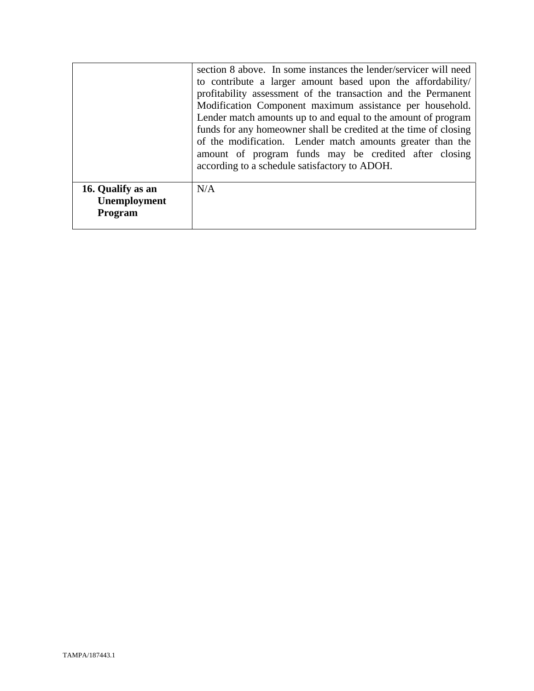|                                              | section 8 above. In some instances the lender/servicer will need<br>to contribute a larger amount based upon the affordability/<br>profitability assessment of the transaction and the Permanent<br>Modification Component maximum assistance per household.<br>Lender match amounts up to and equal to the amount of program<br>funds for any homeowner shall be credited at the time of closing<br>of the modification. Lender match amounts greater than the<br>amount of program funds may be credited after closing<br>according to a schedule satisfactory to ADOH. |
|----------------------------------------------|---------------------------------------------------------------------------------------------------------------------------------------------------------------------------------------------------------------------------------------------------------------------------------------------------------------------------------------------------------------------------------------------------------------------------------------------------------------------------------------------------------------------------------------------------------------------------|
| 16. Qualify as an<br>Unemployment<br>Program | N/A                                                                                                                                                                                                                                                                                                                                                                                                                                                                                                                                                                       |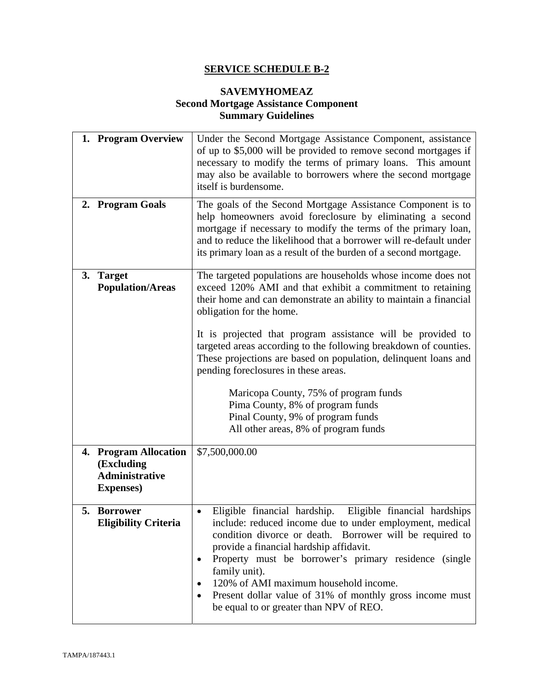#### **SAVEMYHOMEAZ Second Mortgage Assistance Component Summary Guidelines**

| 1. Program Overview                                                               | Under the Second Mortgage Assistance Component, assistance<br>of up to \$5,000 will be provided to remove second mortgages if<br>necessary to modify the terms of primary loans. This amount<br>may also be available to borrowers where the second mortgage<br>itself is burdensome.                                                                                                                                                                                      |  |
|-----------------------------------------------------------------------------------|----------------------------------------------------------------------------------------------------------------------------------------------------------------------------------------------------------------------------------------------------------------------------------------------------------------------------------------------------------------------------------------------------------------------------------------------------------------------------|--|
| 2. Program Goals                                                                  | The goals of the Second Mortgage Assistance Component is to<br>help homeowners avoid foreclosure by eliminating a second<br>mortgage if necessary to modify the terms of the primary loan,<br>and to reduce the likelihood that a borrower will re-default under<br>its primary loan as a result of the burden of a second mortgage.                                                                                                                                       |  |
| 3. Target<br><b>Population/Areas</b>                                              | The targeted populations are households whose income does not<br>exceed 120% AMI and that exhibit a commitment to retaining<br>their home and can demonstrate an ability to maintain a financial<br>obligation for the home.<br>It is projected that program assistance will be provided to<br>targeted areas according to the following breakdown of counties.<br>These projections are based on population, delinquent loans and<br>pending foreclosures in these areas. |  |
|                                                                                   | Maricopa County, 75% of program funds<br>Pima County, 8% of program funds<br>Pinal County, 9% of program funds<br>All other areas, 8% of program funds                                                                                                                                                                                                                                                                                                                     |  |
| 4. Program Allocation<br>(Excluding<br><b>Administrative</b><br><b>Expenses</b> ) | \$7,500,000.00                                                                                                                                                                                                                                                                                                                                                                                                                                                             |  |
| 5. Borrower<br><b>Eligibility Criteria</b>                                        | Eligible financial hardship.<br>Eligible financial hardships<br>include: reduced income due to under employment, medical<br>condition divorce or death. Borrower will be required to<br>provide a financial hardship affidavit.<br>Property must be borrower's primary residence (single<br>family unit).<br>120% of AMI maximum household income.<br>Present dollar value of 31% of monthly gross income must<br>be equal to or greater than NPV of REO.                  |  |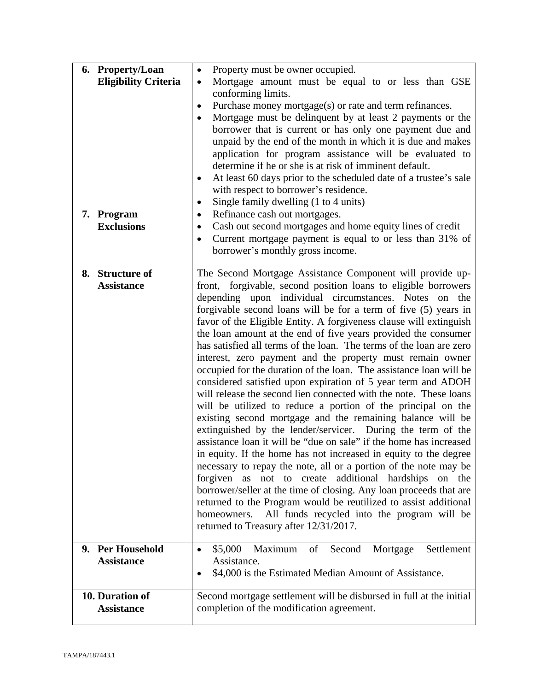| 6. Property/Loan<br><b>Eligibility Criteria</b> | Property must be owner occupied.<br>$\bullet$<br>Mortgage amount must be equal to or less than GSE<br>$\bullet$<br>conforming limits.<br>Purchase money mortgage(s) or rate and term refinances.<br>$\bullet$<br>Mortgage must be delinquent by at least 2 payments or the<br>$\bullet$<br>borrower that is current or has only one payment due and<br>unpaid by the end of the month in which it is due and makes                                                                                                                                                                                                                                                                                                                                                                                                                                                                                                                                                                                                                                                                                                                                                                                                                                                                                                                                                                                                                                                               |  |
|-------------------------------------------------|----------------------------------------------------------------------------------------------------------------------------------------------------------------------------------------------------------------------------------------------------------------------------------------------------------------------------------------------------------------------------------------------------------------------------------------------------------------------------------------------------------------------------------------------------------------------------------------------------------------------------------------------------------------------------------------------------------------------------------------------------------------------------------------------------------------------------------------------------------------------------------------------------------------------------------------------------------------------------------------------------------------------------------------------------------------------------------------------------------------------------------------------------------------------------------------------------------------------------------------------------------------------------------------------------------------------------------------------------------------------------------------------------------------------------------------------------------------------------------|--|
|                                                 | application for program assistance will be evaluated to<br>determine if he or she is at risk of imminent default.<br>At least 60 days prior to the scheduled date of a trustee's sale<br>٠<br>with respect to borrower's residence.<br>Single family dwelling (1 to 4 units)<br>$\bullet$                                                                                                                                                                                                                                                                                                                                                                                                                                                                                                                                                                                                                                                                                                                                                                                                                                                                                                                                                                                                                                                                                                                                                                                        |  |
| 7. Program<br><b>Exclusions</b>                 | Refinance cash out mortgages.<br>$\bullet$<br>Cash out second mortgages and home equity lines of credit<br>$\bullet$<br>Current mortgage payment is equal to or less than 31% of<br>$\bullet$<br>borrower's monthly gross income.                                                                                                                                                                                                                                                                                                                                                                                                                                                                                                                                                                                                                                                                                                                                                                                                                                                                                                                                                                                                                                                                                                                                                                                                                                                |  |
| 8. Structure of<br><b>Assistance</b>            | The Second Mortgage Assistance Component will provide up-<br>front, forgivable, second position loans to eligible borrowers<br>depending upon individual circumstances. Notes on the<br>forgivable second loans will be for a term of five (5) years in<br>favor of the Eligible Entity. A forgiveness clause will extinguish<br>the loan amount at the end of five years provided the consumer<br>has satisfied all terms of the loan. The terms of the loan are zero<br>interest, zero payment and the property must remain owner<br>occupied for the duration of the loan. The assistance loan will be<br>considered satisfied upon expiration of 5 year term and ADOH<br>will release the second lien connected with the note. These loans<br>will be utilized to reduce a portion of the principal on the<br>existing second mortgage and the remaining balance will be<br>extinguished by the lender/servicer. During the term of the<br>assistance loan it will be "due on sale" if the home has increased<br>in equity. If the home has not increased in equity to the degree<br>necessary to repay the note, all or a portion of the note may be<br>forgiven<br>not to create additional<br>hardships<br>on the<br>as<br>borrower/seller at the time of closing. Any loan proceeds that are<br>returned to the Program would be reutilized to assist additional<br>All funds recycled into the program will be<br>homeowners.<br>returned to Treasury after 12/31/2017. |  |
| 9. Per Household<br><b>Assistance</b>           | Second<br>\$5,000<br>Maximum<br>of<br>Mortgage<br>Settlement<br>$\bullet$<br>Assistance.<br>\$4,000 is the Estimated Median Amount of Assistance.<br>$\bullet$                                                                                                                                                                                                                                                                                                                                                                                                                                                                                                                                                                                                                                                                                                                                                                                                                                                                                                                                                                                                                                                                                                                                                                                                                                                                                                                   |  |
| 10. Duration of<br><b>Assistance</b>            | Second mortgage settlement will be disbursed in full at the initial<br>completion of the modification agreement.                                                                                                                                                                                                                                                                                                                                                                                                                                                                                                                                                                                                                                                                                                                                                                                                                                                                                                                                                                                                                                                                                                                                                                                                                                                                                                                                                                 |  |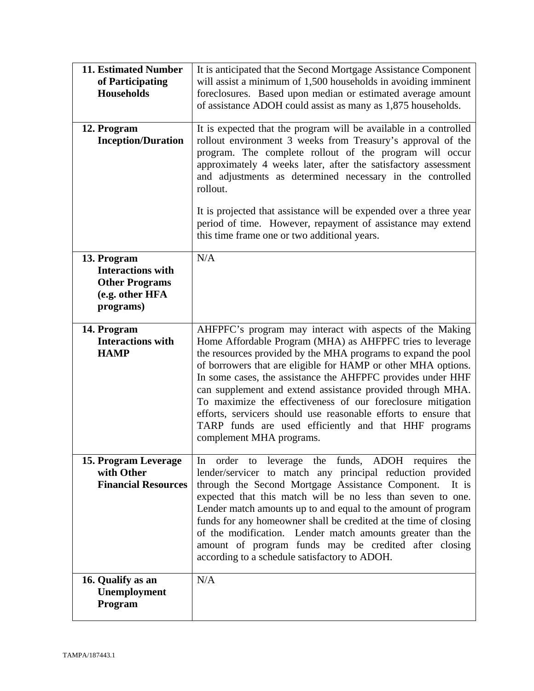| <b>11. Estimated Number</b><br>of Participating<br><b>Households</b><br>12. Program<br><b>Inception/Duration</b> | It is anticipated that the Second Mortgage Assistance Component<br>will assist a minimum of 1,500 households in avoiding imminent<br>foreclosures. Based upon median or estimated average amount<br>of assistance ADOH could assist as many as 1,875 households.<br>It is expected that the program will be available in a controlled<br>rollout environment 3 weeks from Treasury's approval of the<br>program. The complete rollout of the program will occur<br>approximately 4 weeks later, after the satisfactory assessment<br>and adjustments as determined necessary in the controlled              |
|------------------------------------------------------------------------------------------------------------------|-------------------------------------------------------------------------------------------------------------------------------------------------------------------------------------------------------------------------------------------------------------------------------------------------------------------------------------------------------------------------------------------------------------------------------------------------------------------------------------------------------------------------------------------------------------------------------------------------------------|
|                                                                                                                  | rollout.<br>It is projected that assistance will be expended over a three year<br>period of time. However, repayment of assistance may extend<br>this time frame one or two additional years.                                                                                                                                                                                                                                                                                                                                                                                                               |
| 13. Program<br><b>Interactions with</b><br><b>Other Programs</b><br>(e.g. other HFA<br>programs)                 | N/A                                                                                                                                                                                                                                                                                                                                                                                                                                                                                                                                                                                                         |
| 14. Program<br><b>Interactions with</b><br><b>HAMP</b>                                                           | AHFPFC's program may interact with aspects of the Making<br>Home Affordable Program (MHA) as AHFPFC tries to leverage<br>the resources provided by the MHA programs to expand the pool<br>of borrowers that are eligible for HAMP or other MHA options.<br>In some cases, the assistance the AHFPFC provides under HHF<br>can supplement and extend assistance provided through MHA.<br>To maximize the effectiveness of our foreclosure mitigation<br>efforts, servicers should use reasonable efforts to ensure that<br>TARP funds are used efficiently and that HHF programs<br>complement MHA programs. |
| 15. Program Leverage<br>with Other<br><b>Financial Resources</b>                                                 | leverage the funds, ADOH requires the<br>order to<br>In<br>lender/servicer to match any principal reduction provided<br>through the Second Mortgage Assistance Component.<br>It is<br>expected that this match will be no less than seven to one.<br>Lender match amounts up to and equal to the amount of program<br>funds for any homeowner shall be credited at the time of closing<br>of the modification. Lender match amounts greater than the<br>amount of program funds may be credited after closing<br>according to a schedule satisfactory to ADOH.                                              |
| 16. Qualify as an<br>Unemployment<br>Program                                                                     | N/A                                                                                                                                                                                                                                                                                                                                                                                                                                                                                                                                                                                                         |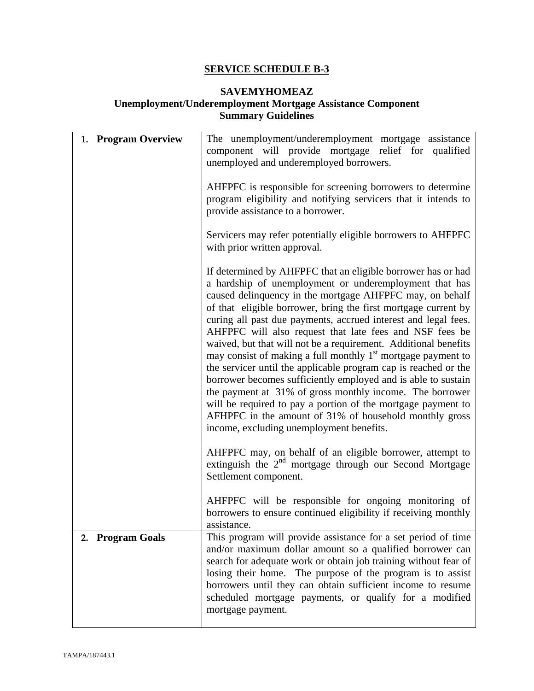#### **SAVEMYHOMEAZ**

## **Unemployment/Underemployment Mortgage Assistance Component Summary Guidelines**

| 1. Program Overview | The unemployment/underemployment mortgage assistance<br>component will provide mortgage relief for qualified<br>unemployed and underemployed borrowers.                                                                                                                                                                                                                                                                                                                                                                                                                                                                                                                                                                                                                                                                                                                                      |
|---------------------|----------------------------------------------------------------------------------------------------------------------------------------------------------------------------------------------------------------------------------------------------------------------------------------------------------------------------------------------------------------------------------------------------------------------------------------------------------------------------------------------------------------------------------------------------------------------------------------------------------------------------------------------------------------------------------------------------------------------------------------------------------------------------------------------------------------------------------------------------------------------------------------------|
|                     | AHFPFC is responsible for screening borrowers to determine<br>program eligibility and notifying servicers that it intends to<br>provide assistance to a borrower.                                                                                                                                                                                                                                                                                                                                                                                                                                                                                                                                                                                                                                                                                                                            |
|                     | Servicers may refer potentially eligible borrowers to AHFPFC<br>with prior written approval.                                                                                                                                                                                                                                                                                                                                                                                                                                                                                                                                                                                                                                                                                                                                                                                                 |
|                     | If determined by AHFPFC that an eligible borrower has or had<br>a hardship of unemployment or underemployment that has<br>caused delinquency in the mortgage AHFPFC may, on behalf<br>of that eligible borrower, bring the first mortgage current by<br>curing all past due payments, accrued interest and legal fees.<br>AHFPFC will also request that late fees and NSF fees be<br>waived, but that will not be a requirement. Additional benefits<br>may consist of making a full monthly $1st$ mortgage payment to<br>the servicer until the applicable program cap is reached or the<br>borrower becomes sufficiently employed and is able to sustain<br>the payment at 31% of gross monthly income. The borrower<br>will be required to pay a portion of the mortgage payment to<br>AFHPFC in the amount of 31% of household monthly gross<br>income, excluding unemployment benefits. |
|                     | AHFPFC may, on behalf of an eligible borrower, attempt to<br>extinguish the $2nd$ mortgage through our Second Mortgage<br>Settlement component.                                                                                                                                                                                                                                                                                                                                                                                                                                                                                                                                                                                                                                                                                                                                              |
|                     | AHFPFC will be responsible for ongoing monitoring of<br>borrowers to ensure continued eligibility if receiving monthly<br>assistance.                                                                                                                                                                                                                                                                                                                                                                                                                                                                                                                                                                                                                                                                                                                                                        |
| 2. Program Goals    | This program will provide assistance for a set period of time<br>and/or maximum dollar amount so a qualified borrower can<br>search for adequate work or obtain job training without fear of<br>losing their home. The purpose of the program is to assist<br>borrowers until they can obtain sufficient income to resume<br>scheduled mortgage payments, or qualify for a modified<br>mortgage payment.                                                                                                                                                                                                                                                                                                                                                                                                                                                                                     |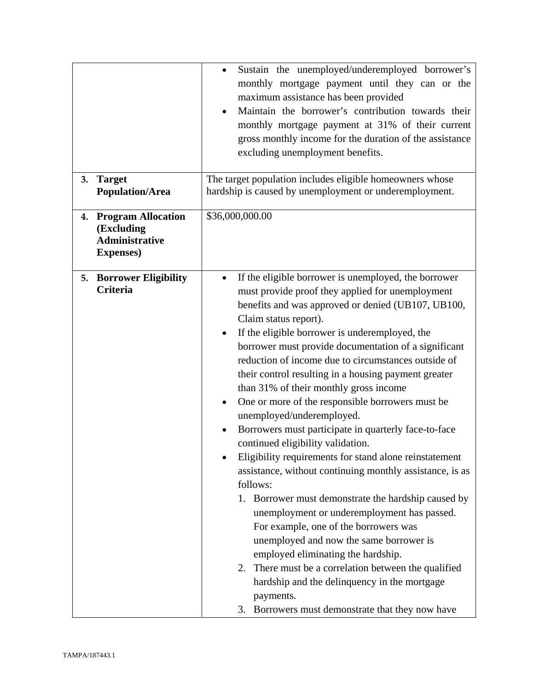|    |                                                                                   | Sustain the unemployed/underemployed borrower's<br>$\bullet$<br>monthly mortgage payment until they can or the<br>maximum assistance has been provided<br>Maintain the borrower's contribution towards their<br>$\bullet$<br>monthly mortgage payment at 31% of their current<br>gross monthly income for the duration of the assistance<br>excluding unemployment benefits.                                                                                                                                                                                                                                                                                                                                                                                                                                                                                                                                                                                                                                                                                                                                                                                                                                                            |
|----|-----------------------------------------------------------------------------------|-----------------------------------------------------------------------------------------------------------------------------------------------------------------------------------------------------------------------------------------------------------------------------------------------------------------------------------------------------------------------------------------------------------------------------------------------------------------------------------------------------------------------------------------------------------------------------------------------------------------------------------------------------------------------------------------------------------------------------------------------------------------------------------------------------------------------------------------------------------------------------------------------------------------------------------------------------------------------------------------------------------------------------------------------------------------------------------------------------------------------------------------------------------------------------------------------------------------------------------------|
| 3. | <b>Target</b><br><b>Population/Area</b>                                           | The target population includes eligible homeowners whose<br>hardship is caused by unemployment or underemployment.                                                                                                                                                                                                                                                                                                                                                                                                                                                                                                                                                                                                                                                                                                                                                                                                                                                                                                                                                                                                                                                                                                                      |
|    | 4. Program Allocation<br>(Excluding<br><b>Administrative</b><br><b>Expenses</b> ) | \$36,000,000.00                                                                                                                                                                                                                                                                                                                                                                                                                                                                                                                                                                                                                                                                                                                                                                                                                                                                                                                                                                                                                                                                                                                                                                                                                         |
| 5. | <b>Borrower Eligibility</b><br>Criteria                                           | If the eligible borrower is unemployed, the borrower<br>$\bullet$<br>must provide proof they applied for unemployment<br>benefits and was approved or denied (UB107, UB100,<br>Claim status report).<br>If the eligible borrower is underemployed, the<br>$\bullet$<br>borrower must provide documentation of a significant<br>reduction of income due to circumstances outside of<br>their control resulting in a housing payment greater<br>than 31% of their monthly gross income<br>One or more of the responsible borrowers must be<br>$\bullet$<br>unemployed/underemployed.<br>Borrowers must participate in quarterly face-to-face<br>$\bullet$<br>continued eligibility validation.<br>Eligibility requirements for stand alone reinstatement<br>assistance, without continuing monthly assistance, is as<br>follows:<br>1. Borrower must demonstrate the hardship caused by<br>unemployment or underemployment has passed.<br>For example, one of the borrowers was<br>unemployed and now the same borrower is<br>employed eliminating the hardship.<br>2. There must be a correlation between the qualified<br>hardship and the delinquency in the mortgage<br>payments.<br>3. Borrowers must demonstrate that they now have |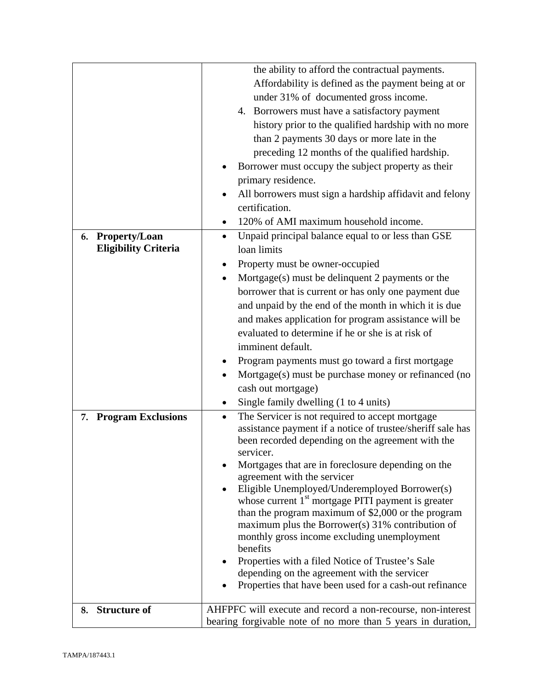|                                 | the ability to afford the contractual payments.                                                                                                                                              |
|---------------------------------|----------------------------------------------------------------------------------------------------------------------------------------------------------------------------------------------|
|                                 | Affordability is defined as the payment being at or                                                                                                                                          |
|                                 | under 31% of documented gross income.                                                                                                                                                        |
|                                 | 4. Borrowers must have a satisfactory payment                                                                                                                                                |
|                                 | history prior to the qualified hardship with no more                                                                                                                                         |
|                                 | than 2 payments 30 days or more late in the                                                                                                                                                  |
|                                 | preceding 12 months of the qualified hardship.                                                                                                                                               |
|                                 | Borrower must occupy the subject property as their                                                                                                                                           |
|                                 | primary residence.                                                                                                                                                                           |
|                                 |                                                                                                                                                                                              |
|                                 | All borrowers must sign a hardship affidavit and felony                                                                                                                                      |
|                                 | certification.                                                                                                                                                                               |
|                                 | 120% of AMI maximum household income.                                                                                                                                                        |
| <b>Property/Loan</b><br>6.      | Unpaid principal balance equal to or less than GSE<br>$\bullet$                                                                                                                              |
| <b>Eligibility Criteria</b>     | loan limits                                                                                                                                                                                  |
|                                 | Property must be owner-occupied                                                                                                                                                              |
|                                 | Mortgage(s) must be delinquent 2 payments or the<br>$\bullet$                                                                                                                                |
|                                 | borrower that is current or has only one payment due                                                                                                                                         |
|                                 | and unpaid by the end of the month in which it is due                                                                                                                                        |
|                                 | and makes application for program assistance will be                                                                                                                                         |
|                                 | evaluated to determine if he or she is at risk of                                                                                                                                            |
|                                 | imminent default.                                                                                                                                                                            |
|                                 | Program payments must go toward a first mortgage                                                                                                                                             |
|                                 | Mortgage(s) must be purchase money or refinanced (no                                                                                                                                         |
|                                 | cash out mortgage)                                                                                                                                                                           |
|                                 | Single family dwelling (1 to 4 units)                                                                                                                                                        |
| <b>Program Exclusions</b><br>7. | The Servicer is not required to accept mortgage<br>$\bullet$<br>assistance payment if a notice of trustee/sheriff sale has<br>been recorded depending on the agreement with the<br>servicer. |
|                                 | Mortgages that are in foreclosure depending on the                                                                                                                                           |
|                                 | agreement with the servicer                                                                                                                                                                  |
|                                 | Eligible Unemployed/Underemployed Borrower(s)                                                                                                                                                |
|                                 | whose current $1st$ mortgage PITI payment is greater                                                                                                                                         |
|                                 | than the program maximum of \$2,000 or the program                                                                                                                                           |
|                                 | maximum plus the Borrower(s) 31% contribution of                                                                                                                                             |
|                                 | monthly gross income excluding unemployment<br>benefits                                                                                                                                      |
|                                 | Properties with a filed Notice of Trustee's Sale                                                                                                                                             |
|                                 | depending on the agreement with the servicer                                                                                                                                                 |
|                                 | Properties that have been used for a cash-out refinance                                                                                                                                      |
|                                 |                                                                                                                                                                                              |
| <b>Structure of</b><br>8.       | AHFPFC will execute and record a non-recourse, non-interest                                                                                                                                  |
|                                 | bearing forgivable note of no more than 5 years in duration,                                                                                                                                 |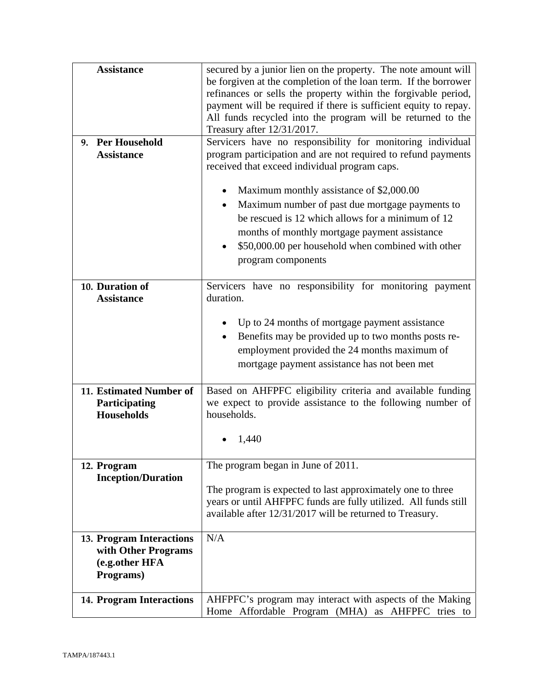| <b>Assistance</b>                                                                     | secured by a junior lien on the property. The note amount will<br>be forgiven at the completion of the loan term. If the borrower<br>refinances or sells the property within the forgivable period,<br>payment will be required if there is sufficient equity to repay.<br>All funds recycled into the program will be returned to the<br>Treasury after 12/31/2017. |
|---------------------------------------------------------------------------------------|----------------------------------------------------------------------------------------------------------------------------------------------------------------------------------------------------------------------------------------------------------------------------------------------------------------------------------------------------------------------|
| 9. Per Household<br><b>Assistance</b>                                                 | Servicers have no responsibility for monitoring individual<br>program participation and are not required to refund payments<br>received that exceed individual program caps.                                                                                                                                                                                         |
|                                                                                       | Maximum monthly assistance of \$2,000.00<br>Maximum number of past due mortgage payments to<br>$\bullet$<br>be rescued is 12 which allows for a minimum of 12<br>months of monthly mortgage payment assistance<br>\$50,000.00 per household when combined with other<br>program components                                                                           |
| 10. Duration of<br><b>Assistance</b>                                                  | Servicers have no responsibility for monitoring payment<br>duration.                                                                                                                                                                                                                                                                                                 |
|                                                                                       | Up to 24 months of mortgage payment assistance<br>Benefits may be provided up to two months posts re-<br>$\bullet$<br>employment provided the 24 months maximum of<br>mortgage payment assistance has not been met                                                                                                                                                   |
| 11. Estimated Number of<br>Participating<br><b>Households</b>                         | Based on AHFPFC eligibility criteria and available funding<br>we expect to provide assistance to the following number of<br>households.                                                                                                                                                                                                                              |
|                                                                                       | 1,440                                                                                                                                                                                                                                                                                                                                                                |
| 12. Program<br><b>Inception/Duration</b>                                              | The program began in June of 2011.<br>The program is expected to last approximately one to three<br>years or until AHFPFC funds are fully utilized. All funds still<br>available after 12/31/2017 will be returned to Treasury.                                                                                                                                      |
| <b>13. Program Interactions</b><br>with Other Programs<br>(e.g.other HFA<br>Programs) | N/A                                                                                                                                                                                                                                                                                                                                                                  |
| <b>14. Program Interactions</b>                                                       | AHFPFC's program may interact with aspects of the Making<br>Home Affordable Program (MHA) as AHFPFC tries to                                                                                                                                                                                                                                                         |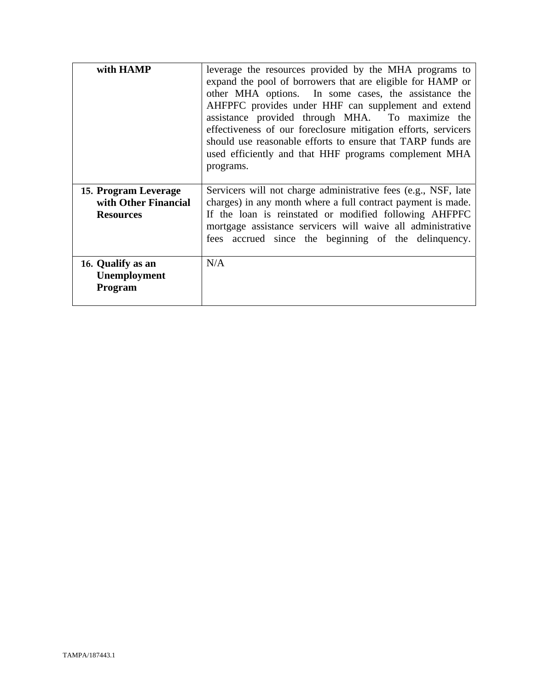| with HAMP                                                        | leverage the resources provided by the MHA programs to<br>expand the pool of borrowers that are eligible for HAMP or<br>other MHA options. In some cases, the assistance the<br>AHFPFC provides under HHF can supplement and extend<br>assistance provided through MHA. To maximize the<br>effectiveness of our foreclosure mitigation efforts, servicers<br>should use reasonable efforts to ensure that TARP funds are<br>used efficiently and that HHF programs complement MHA<br>programs. |
|------------------------------------------------------------------|------------------------------------------------------------------------------------------------------------------------------------------------------------------------------------------------------------------------------------------------------------------------------------------------------------------------------------------------------------------------------------------------------------------------------------------------------------------------------------------------|
| 15. Program Leverage<br>with Other Financial<br><b>Resources</b> | Servicers will not charge administrative fees (e.g., NSF, late<br>charges) in any month where a full contract payment is made.<br>If the loan is reinstated or modified following AHFPFC<br>mortgage assistance servicers will waive all administrative<br>fees accrued since the beginning of the delinquency.                                                                                                                                                                                |
| 16. Qualify as an<br>Unemployment<br>Program                     | N/A                                                                                                                                                                                                                                                                                                                                                                                                                                                                                            |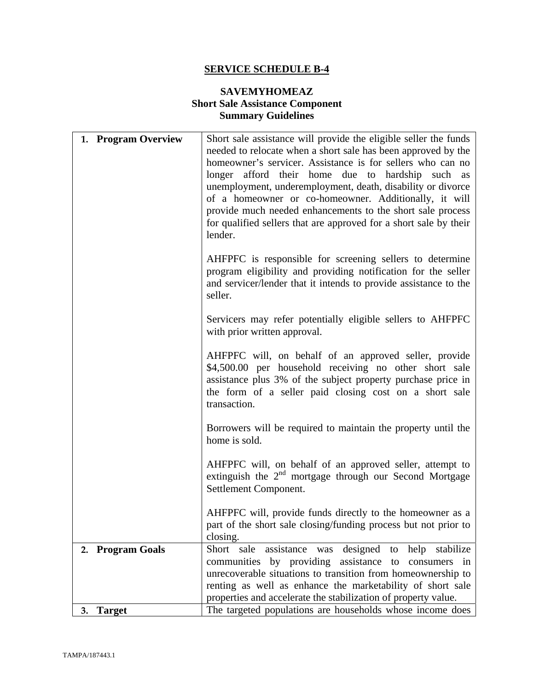## **SAVEMYHOMEAZ Short Sale Assistance Component Summary Guidelines**

| 1. Program Overview | Short sale assistance will provide the eligible seller the funds<br>needed to relocate when a short sale has been approved by the<br>homeowner's servicer. Assistance is for sellers who can no<br>longer afford their home due to hardship such as<br>unemployment, underemployment, death, disability or divorce<br>of a homeowner or co-homeowner. Additionally, it will<br>provide much needed enhancements to the short sale process<br>for qualified sellers that are approved for a short sale by their<br>lender. |
|---------------------|---------------------------------------------------------------------------------------------------------------------------------------------------------------------------------------------------------------------------------------------------------------------------------------------------------------------------------------------------------------------------------------------------------------------------------------------------------------------------------------------------------------------------|
|                     | AHFPFC is responsible for screening sellers to determine<br>program eligibility and providing notification for the seller<br>and servicer/lender that it intends to provide assistance to the<br>seller.                                                                                                                                                                                                                                                                                                                  |
|                     | Servicers may refer potentially eligible sellers to AHFPFC<br>with prior written approval.                                                                                                                                                                                                                                                                                                                                                                                                                                |
|                     | AHFPFC will, on behalf of an approved seller, provide<br>\$4,500.00 per household receiving no other short sale<br>assistance plus 3% of the subject property purchase price in<br>the form of a seller paid closing cost on a short sale<br>transaction.                                                                                                                                                                                                                                                                 |
|                     | Borrowers will be required to maintain the property until the<br>home is sold.                                                                                                                                                                                                                                                                                                                                                                                                                                            |
|                     | AHFPFC will, on behalf of an approved seller, attempt to<br>extinguish the $2nd$ mortgage through our Second Mortgage<br>Settlement Component.                                                                                                                                                                                                                                                                                                                                                                            |
|                     | AHFPFC will, provide funds directly to the homeowner as a<br>part of the short sale closing/funding process but not prior to<br>closing.                                                                                                                                                                                                                                                                                                                                                                                  |
| 2. Program Goals    | assistance was designed to help stabilize<br>Short sale<br>communities by providing<br>assistance to<br>consumers in<br>unrecoverable situations to transition from homeownership to<br>renting as well as enhance the marketability of short sale<br>properties and accelerate the stabilization of property value.                                                                                                                                                                                                      |
| <b>Target</b><br>3. | The targeted populations are households whose income does                                                                                                                                                                                                                                                                                                                                                                                                                                                                 |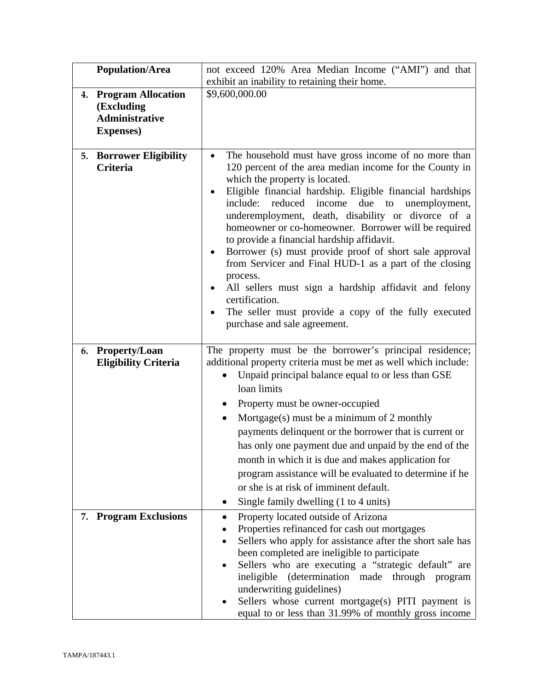|    | <b>Population/Area</b>                                                                | not exceed 120% Area Median Income ("AMI") and that                                                                                                                                                                                                                                                                                                                                                                                                                                                                                                                                                                                                                                                                                    |
|----|---------------------------------------------------------------------------------------|----------------------------------------------------------------------------------------------------------------------------------------------------------------------------------------------------------------------------------------------------------------------------------------------------------------------------------------------------------------------------------------------------------------------------------------------------------------------------------------------------------------------------------------------------------------------------------------------------------------------------------------------------------------------------------------------------------------------------------------|
|    |                                                                                       | exhibit an inability to retaining their home.                                                                                                                                                                                                                                                                                                                                                                                                                                                                                                                                                                                                                                                                                          |
| 4. | <b>Program Allocation</b><br>(Excluding<br><b>Administrative</b><br><b>Expenses</b> ) | \$9,600,000.00                                                                                                                                                                                                                                                                                                                                                                                                                                                                                                                                                                                                                                                                                                                         |
|    | <b>5. Borrower Eligibility</b><br><b>Criteria</b>                                     | The household must have gross income of no more than<br>120 percent of the area median income for the County in<br>which the property is located.<br>Eligible financial hardship. Eligible financial hardships<br>include: reduced income<br>due<br>to<br>unemployment,<br>underemployment, death, disability or divorce of a<br>homeowner or co-homeowner. Borrower will be required<br>to provide a financial hardship affidavit.<br>Borrower (s) must provide proof of short sale approval<br>from Servicer and Final HUD-1 as a part of the closing<br>process.<br>All sellers must sign a hardship affidavit and felony<br>certification.<br>The seller must provide a copy of the fully executed<br>purchase and sale agreement. |
| 6. | <b>Property/Loan</b><br><b>Eligibility Criteria</b>                                   | The property must be the borrower's principal residence;<br>additional property criteria must be met as well which include:<br>Unpaid principal balance equal to or less than GSE<br>loan limits<br>Property must be owner-occupied<br>٠<br>Mortgage(s) must be a minimum of 2 monthly<br>٠<br>payments delinquent or the borrower that is current or<br>has only one payment due and unpaid by the end of the<br>month in which it is due and makes application for<br>program assistance will be evaluated to determine if he<br>or she is at risk of imminent default.<br>Single family dwelling (1 to 4 units)                                                                                                                     |
|    | 7. Program Exclusions                                                                 | Property located outside of Arizona<br>Properties refinanced for cash out mortgages<br>Sellers who apply for assistance after the short sale has<br>been completed are ineligible to participate<br>Sellers who are executing a "strategic default" are<br>ineligible (determination made through program<br>underwriting guidelines)<br>Sellers whose current mortgage(s) PITI payment is<br>equal to or less than 31.99% of monthly gross income                                                                                                                                                                                                                                                                                     |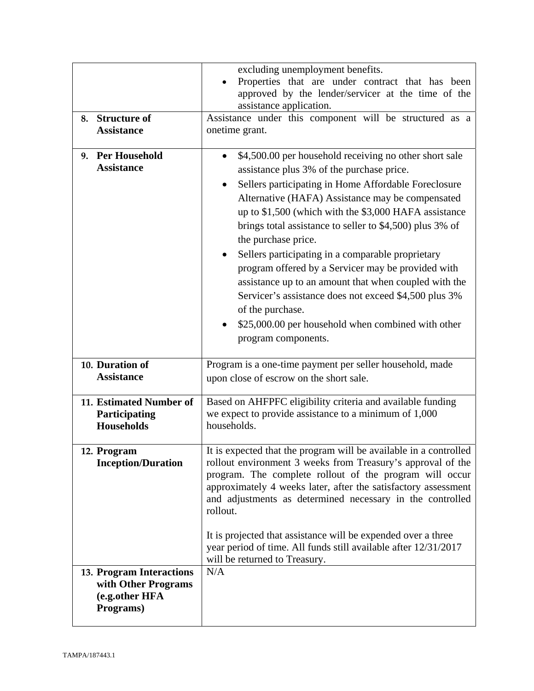| <b>Structure of</b><br>8.<br><b>Assistance</b>                                 | excluding unemployment benefits.<br>Properties that are under contract that has been<br>approved by the lender/servicer at the time of the<br>assistance application.<br>Assistance under this component will be structured as a<br>onetime grant.                                                                                                                                                                                                                                                                                                                                                                                                                                                          |
|--------------------------------------------------------------------------------|-------------------------------------------------------------------------------------------------------------------------------------------------------------------------------------------------------------------------------------------------------------------------------------------------------------------------------------------------------------------------------------------------------------------------------------------------------------------------------------------------------------------------------------------------------------------------------------------------------------------------------------------------------------------------------------------------------------|
| <b>Per Household</b><br>9.<br><b>Assistance</b>                                | \$4,500.00 per household receiving no other short sale<br>assistance plus 3% of the purchase price.<br>Sellers participating in Home Affordable Foreclosure<br>٠<br>Alternative (HAFA) Assistance may be compensated<br>up to \$1,500 (which with the \$3,000 HAFA assistance<br>brings total assistance to seller to \$4,500) plus 3% of<br>the purchase price.<br>Sellers participating in a comparable proprietary<br>$\bullet$<br>program offered by a Servicer may be provided with<br>assistance up to an amount that when coupled with the<br>Servicer's assistance does not exceed \$4,500 plus 3%<br>of the purchase.<br>\$25,000.00 per household when combined with other<br>program components. |
| 10. Duration of<br><b>Assistance</b>                                           | Program is a one-time payment per seller household, made<br>upon close of escrow on the short sale.                                                                                                                                                                                                                                                                                                                                                                                                                                                                                                                                                                                                         |
| 11. Estimated Number of<br>Participating<br><b>Households</b>                  | Based on AHFPFC eligibility criteria and available funding<br>we expect to provide assistance to a minimum of 1,000<br>households.                                                                                                                                                                                                                                                                                                                                                                                                                                                                                                                                                                          |
| 12. Program<br><b>Inception/Duration</b>                                       | It is expected that the program will be available in a controlled<br>rollout environment 3 weeks from Treasury's approval of the<br>program. The complete rollout of the program will occur<br>approximately 4 weeks later, after the satisfactory assessment<br>and adjustments as determined necessary in the controlled<br>rollout.<br>It is projected that assistance will be expended over a three<br>year period of time. All funds still available after 12/31/2017<br>will be returned to Treasury.                                                                                                                                                                                                 |
| 13. Program Interactions<br>with Other Programs<br>(e.g.other HFA<br>Programs) | N/A                                                                                                                                                                                                                                                                                                                                                                                                                                                                                                                                                                                                                                                                                                         |